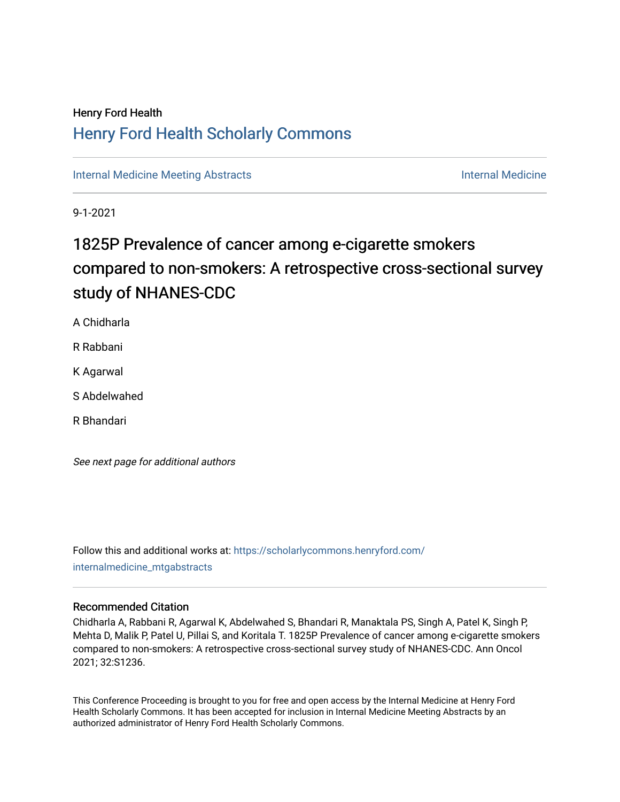## Henry Ford Health [Henry Ford Health Scholarly Commons](https://scholarlycommons.henryford.com/)

[Internal Medicine Meeting Abstracts](https://scholarlycommons.henryford.com/internalmedicine_mtgabstracts) **Internal Medicine** Internal Medicine

9-1-2021

# 1825P Prevalence of cancer among e-cigarette smokers compared to non-smokers: A retrospective cross-sectional survey study of NHANES-CDC

A Chidharla

R Rabbani

K Agarwal

S Abdelwahed

R Bhandari

See next page for additional authors

Follow this and additional works at: [https://scholarlycommons.henryford.com/](https://scholarlycommons.henryford.com/internalmedicine_mtgabstracts?utm_source=scholarlycommons.henryford.com%2Finternalmedicine_mtgabstracts%2F131&utm_medium=PDF&utm_campaign=PDFCoverPages) [internalmedicine\\_mtgabstracts](https://scholarlycommons.henryford.com/internalmedicine_mtgabstracts?utm_source=scholarlycommons.henryford.com%2Finternalmedicine_mtgabstracts%2F131&utm_medium=PDF&utm_campaign=PDFCoverPages) 

### Recommended Citation

Chidharla A, Rabbani R, Agarwal K, Abdelwahed S, Bhandari R, Manaktala PS, Singh A, Patel K, Singh P, Mehta D, Malik P, Patel U, Pillai S, and Koritala T. 1825P Prevalence of cancer among e-cigarette smokers compared to non-smokers: A retrospective cross-sectional survey study of NHANES-CDC. Ann Oncol 2021; 32:S1236.

This Conference Proceeding is brought to you for free and open access by the Internal Medicine at Henry Ford Health Scholarly Commons. It has been accepted for inclusion in Internal Medicine Meeting Abstracts by an authorized administrator of Henry Ford Health Scholarly Commons.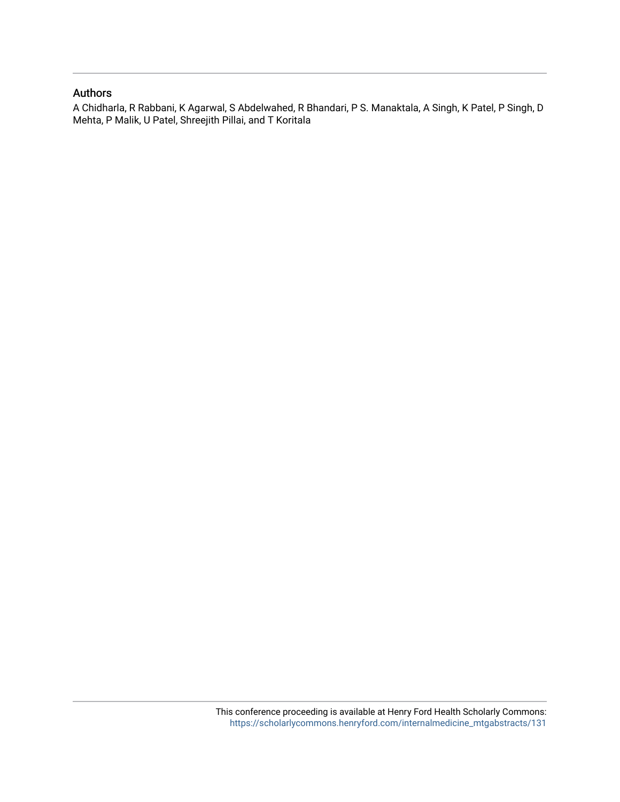### Authors

A Chidharla, R Rabbani, K Agarwal, S Abdelwahed, R Bhandari, P S. Manaktala, A Singh, K Patel, P Singh, D Mehta, P Malik, U Patel, Shreejith Pillai, and T Koritala